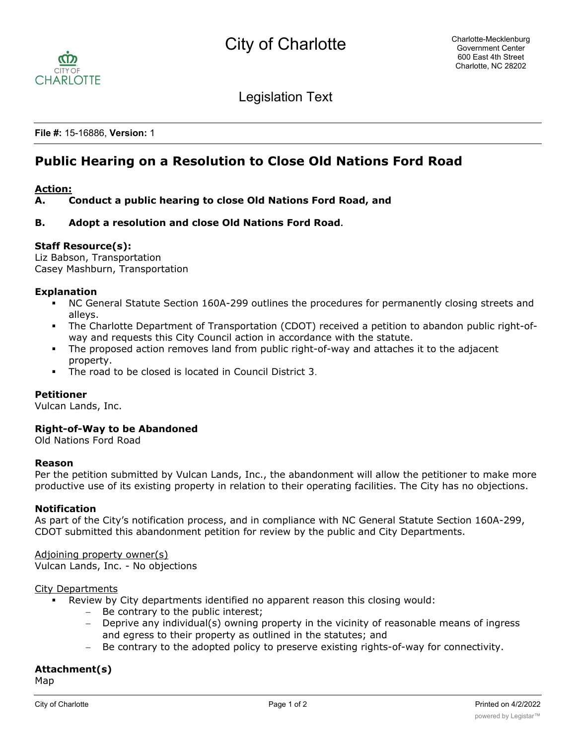

Legislation Text

**File #:** 15-16886, **Version:** 1

# **Public Hearing on a Resolution to Close Old Nations Ford Road**

# **Action:**

# **A. Conduct a public hearing to close Old Nations Ford Road, and**

# **B. Adopt a resolution and close Old Nations Ford Road.**

# **Staff Resource(s):**

Liz Babson, Transportation Casey Mashburn, Transportation

#### **Explanation**

- § NC General Statute Section 160A-299 outlines the procedures for permanently closing streets and alleys.
- The Charlotte Department of Transportation (CDOT) received a petition to abandon public right-ofway and requests this City Council action in accordance with the statute.
- The proposed action removes land from public right-of-way and attaches it to the adjacent property.
- The road to be closed is located in Council District 3.

#### **Petitioner**

Vulcan Lands, Inc.

#### **Right-of-Way to be Abandoned**

Old Nations Ford Road

#### **Reason**

Per the petition submitted by Vulcan Lands, Inc., the abandonment will allow the petitioner to make more productive use of its existing property in relation to their operating facilities. The City has no objections.

#### **Notification**

As part of the City's notification process, and in compliance with NC General Statute Section 160A-299, CDOT submitted this abandonment petition for review by the public and City Departments.

# Adjoining property owner(s)

Vulcan Lands, Inc. - No objections

#### City Departments

- Review by City departments identified no apparent reason this closing would:
	- Be contrary to the public interest;
	- Deprive any individual(s) owning property in the vicinity of reasonable means of ingress and egress to their property as outlined in the statutes; and
	- Be contrary to the adopted policy to preserve existing rights-of-way for connectivity.

# **Attachment(s)**

Map